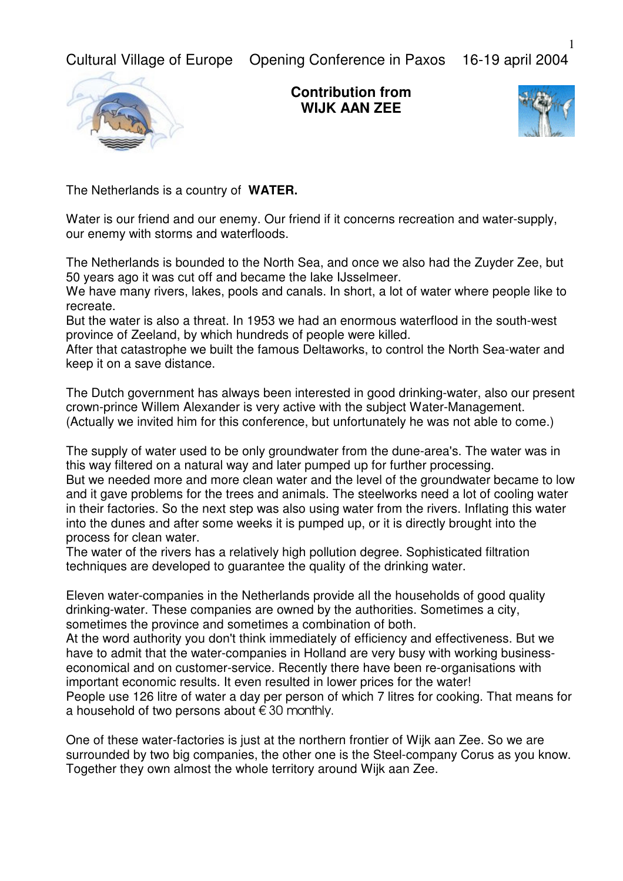Cultural Village of Europe Opening Conference in Paxos 16-19 april 2004



**Contribution from WIJK AAN ZEE**



The Netherlands is a country of **WATER.**

Water is our friend and our enemy. Our friend if it concerns recreation and water-supply, our enemy with storms and waterfloods.

The Netherlands is bounded to the North Sea, and once we also had the Zuyder Zee, but 50 years ago it was cut off and became the lake IJsselmeer.

We have many rivers, lakes, pools and canals. In short, a lot of water where people like to recreate.

But the water is also a threat. In 1953 we had an enormous waterflood in the south-west province of Zeeland, by which hundreds of people were killed.

After that catastrophe we built the famous Deltaworks, to control the North Sea-water and keep it on a save distance.

The Dutch government has always been interested in good drinking-water, also our present crown-prince Willem Alexander is very active with the subject Water-Management. (Actually we invited him for this conference, but unfortunately he was not able to come.)

The supply of water used to be only groundwater from the dune-area's. The water was in this way filtered on a natural way and later pumped up for further processing. But we needed more and more clean water and the level of the groundwater became to low and it gave problems for the trees and animals. The steelworks need a lot of cooling water in their factories. So the next step was also using water from the rivers. Inflating this water into the dunes and after some weeks it is pumped up, or it is directly brought into the process for clean water.

The water of the rivers has a relatively high pollution degree. Sophisticated filtration techniques are developed to guarantee the quality of the drinking water.

Eleven water-companies in the Netherlands provide all the households of good quality drinking-water. These companies are owned by the authorities. Sometimes a city, sometimes the province and sometimes a combination of both.

At the word authority you don't think immediately of efficiency and effectiveness. But we have to admit that the water-companies in Holland are very busy with working businesseconomical and on customer-service. Recently there have been re-organisations with important economic results. It even resulted in lower prices for the water! People use 126 litre of water a day per person of which 7 litres for cooking. That means for

a household of two persons about  $\epsilon$  30 monthly.

One of these water-factories is just at the northern frontier of Wijk aan Zee. So we are surrounded by two big companies, the other one is the Steel-company Corus as you know. Together they own almost the whole territory around Wijk aan Zee.